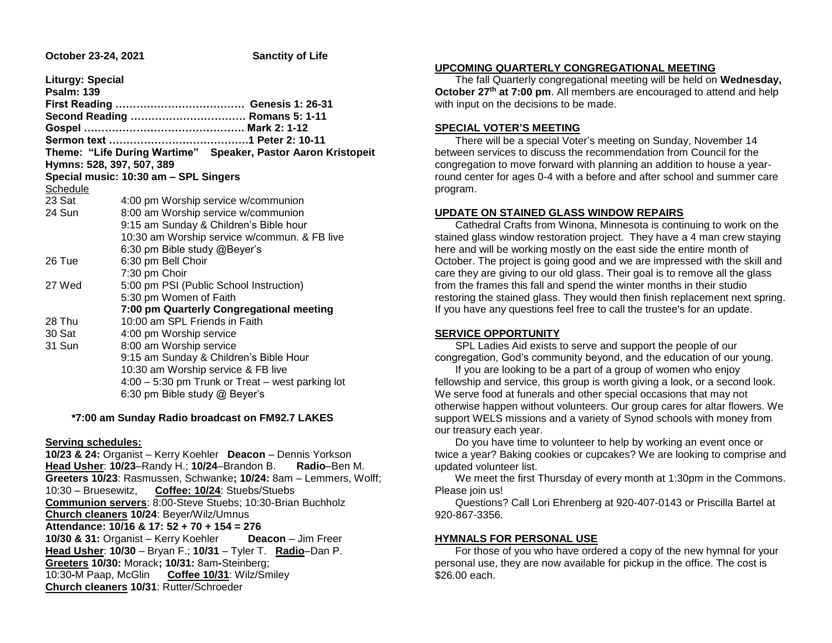| <b>Liturgy: Special</b>                                       |
|---------------------------------------------------------------|
|                                                               |
|                                                               |
| Second Reading  Romans 5: 1-11                                |
|                                                               |
|                                                               |
| Theme: "Life During Wartime" Speaker, Pastor Aaron Kristopeit |
| Hymns: 528, 397, 507, 389                                     |
| Special music: 10:30 am - SPL Singers                         |
|                                                               |
| 4:00 pm Worship service w/communion                           |
| 8:00 am Worship service w/communion                           |
| 9:15 am Sunday & Children's Bible hour                        |
| 10:30 am Worship service w/commun. & FB live                  |
| 6:30 pm Bible study @Beyer's                                  |
| 6:30 pm Bell Choir                                            |
| 7:30 pm Choir                                                 |
| 5:00 pm PSI (Public School Instruction)                       |
| 5:30 pm Women of Faith                                        |
| 7:00 pm Quarterly Congregational meeting                      |
| 10:00 am SPL Friends in Faith                                 |
| 4:00 pm Worship service                                       |
| 8:00 am Worship service                                       |
| 9:15 am Sunday & Children's Bible Hour                        |
| 10:30 am Worship service & FB live                            |
| 4:00 - 5:30 pm Trunk or Treat - west parking lot              |
| 6:30 pm Bible study @ Beyer's                                 |
|                                                               |

 **\*7:00 am Sunday Radio broadcast on FM92.7 LAKES**

## **Serving schedules:**

**10/23 & 24:** Organist – Kerry Koehler **Deacon** – Dennis Yorkson **Head Usher**: **10/23**–Randy H.; **10/24**–Brandon B. **Radio**–Ben M. **Greeters 10/23**: Rasmussen, Schwanke**; 10/24:** 8am – Lemmers, Wolff; 10:30 – Bruesewitz, **Coffee: 10/24**: Stuebs/Stuebs **Communion servers**: 8:00-Steve Stuebs; 10:30-Brian Buchholz **Church cleaners 10/24**: Beyer/Wilz/Umnus **Attendance: 10/16 & 17: 52 + 70 + 154 = 276 10/30 & 31:** Organist – Kerry Koehler **Deacon** – Jim Freer **Head Usher**: **10/30** – Bryan F.; **10/31** – Tyler T. **Radio**–Dan P. **Greeters 10/30:** Morack**; 10/31:** 8am**-**Steinberg; 10:30**-**M Paap, McGlin **Coffee 10/31**: Wilz/Smiley **Church cleaners 10/31**: Rutter/Schroeder

## **UPCOMING QUARTERLY CONGREGATIONAL MEETING**

 The fall Quarterly congregational meeting will be held on **Wednesday, October 27th at 7:00 pm**. All members are encouraged to attend and help with input on the decisions to be made.

## **SPECIAL VOTER'S MEETING**

 There will be a special Voter's meeting on Sunday, November 14 between services to discuss the recommendation from Council for the congregation to move forward with planning an addition to house a yearround center for ages 0-4 with a before and after school and summer care program.

## **UPDATE ON STAINED GLASS WINDOW REPAIRS**

 Cathedral Crafts from Winona, Minnesota is continuing to work on the stained glass window restoration project. They have a 4 man crew staying here and will be working mostly on the east side the entire month of October. The project is going good and we are impressed with the skill and care they are giving to our old glass. Their goal is to remove all the glass from the frames this fall and spend the winter months in their studio restoring the stained glass. They would then finish replacement next spring. If you have any questions feel free to call the trustee's for an update.

# **SERVICE OPPORTUNITY**

 SPL Ladies Aid exists to serve and support the people of our congregation, God's community beyond, and the education of our young.

 If you are looking to be a part of a group of women who enjoy fellowship and service, this group is worth giving a look, or a second look. We serve food at funerals and other special occasions that may not otherwise happen without volunteers. Our group cares for altar flowers. We support WELS missions and a variety of Synod schools with money from our treasury each year.

 Do you have time to volunteer to help by working an event once or twice a year? Baking cookies or cupcakes? We are looking to comprise and updated volunteer list.

 We meet the first Thursday of every month at 1:30pm in the Commons. Please join us!

 Questions? Call Lori Ehrenberg at 920-407-0143 or Priscilla Bartel at 920-867-3356.

# **HYMNALS FOR PERSONAL USE**

 For those of you who have ordered a copy of the new hymnal for your personal use, they are now available for pickup in the office. The cost is \$26.00 each.